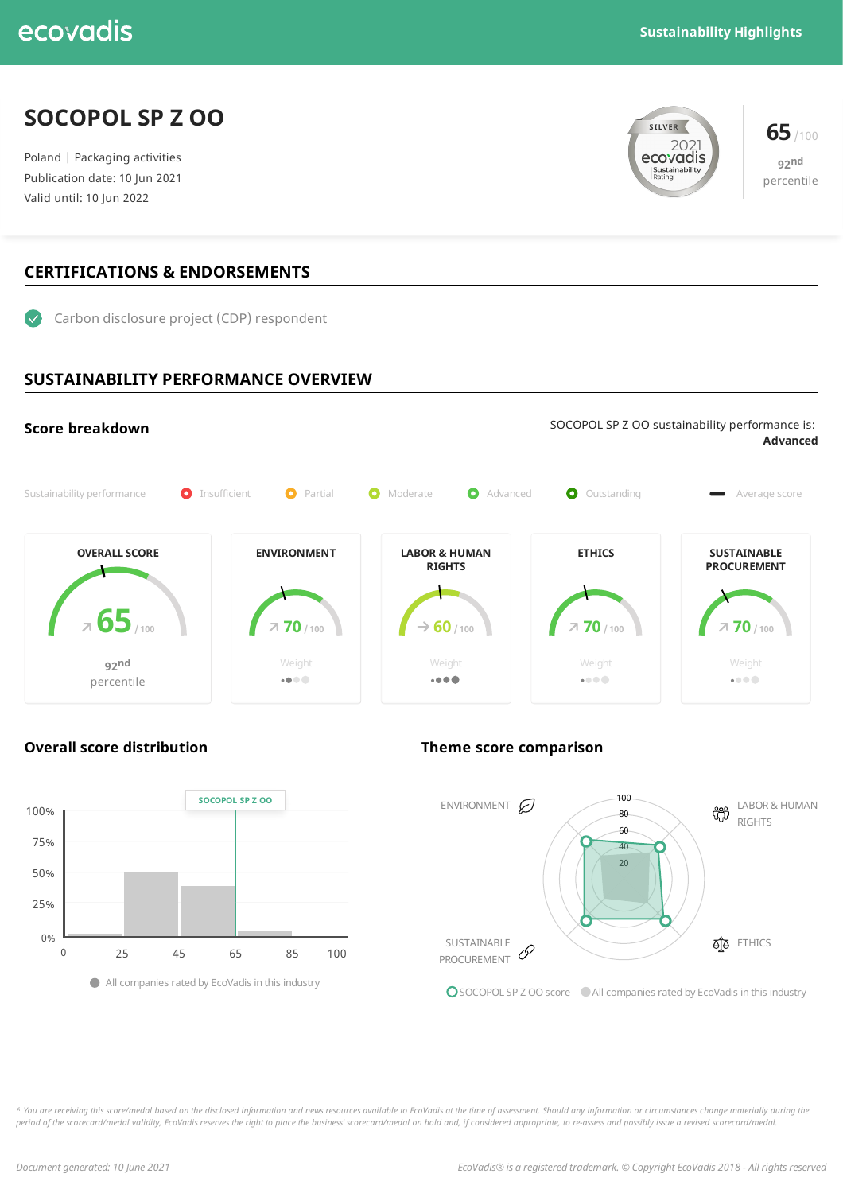## ecovadis

### **SOCOPOL SP Z OO**

Poland | Packaging activities Publication date: 10 Jun 2021 Valid until: 10 Jun 2022

# **65** /100<br>**ecovadis** 65 /100 Sustainability



### **CERTIFICATIONS & ENDORSEMENTS**



### **SUSTAINABILITY PERFORMANCE OVERVIEW**





### **Overall score distribution Theme score comparison**



O SOCOPOL SP Z OO score All companies rated by EcoVadis in this industry

\* You are receiving this score/medal based on the disclosed information and news resources available to EcoVadis at the time of assessment. Should any information or circumstances change materially during the period of the scorecard/medal validity, EcoVadis reserves the right to place the business' scorecard/medal on hold and, if considered appropriate, to re-assess and possibly issue a revised scorecard/medal.